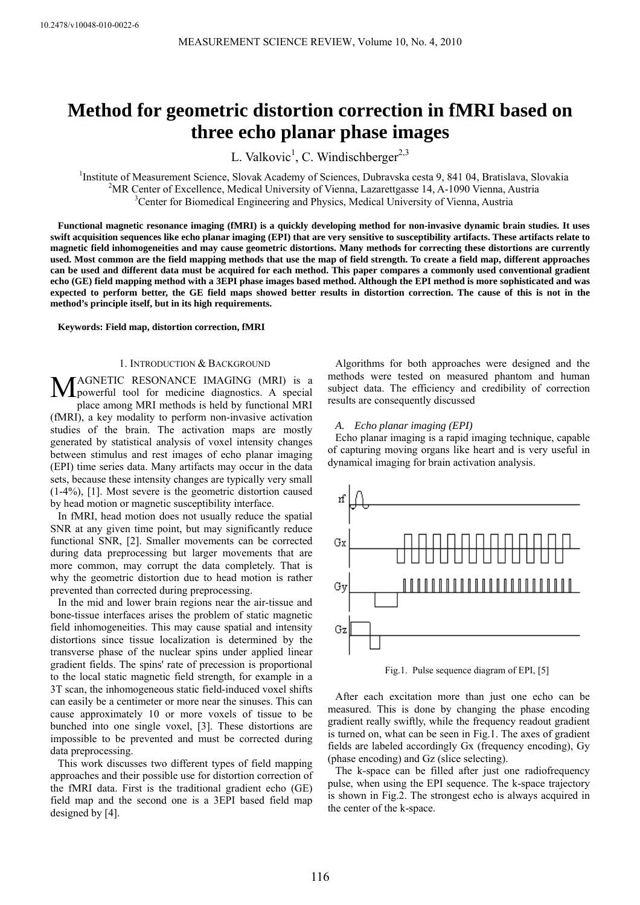# **Method for geometric distortion correction in fMRI based on three echo planar phase images**

L. Valkovic<sup>1</sup>, C. Windischberger<sup>2,3</sup>

<sup>1</sup>Institute of Measurement Science, Slovak Academy of Sciences, Dubravska cesta 9, 841 04, Bratislava, Slovakia <sup>2</sup>MP Center of Excellence, Medical University of Vienne, Legentracea 14, A 1000 Vienne, Austria <sup>2</sup>MR Center of Excellence, Medical University of Vienna, Lazarettgasse 14, A-1090 Vienna, Austria <sup>3</sup>Center for Biomedical Engineering and Physics, Medical University of Vienna, Austria

**Functional magnetic resonance imaging (fMRI) is a quickly developing method for non-invasive dynamic brain studies. It uses swift acquisition sequences like echo planar imaging (EPI) that are very sensitive to susceptibility artifacts. These artifacts relate to magnetic field inhomogeneities and may cause geometric distortions. Many methods for correcting these distortions are currently used. Most common are the field mapping methods that use the map of field strength. To create a field map, different approaches can be used and different data must be acquired for each method. This paper compares a commonly used conventional gradient echo (GE) field mapping method with a 3EPI phase images based method. Although the EPI method is more sophisticated and was expected to perform better, the GE field maps showed better results in distortion correction. The cause of this is not in the method's principle itself, but in its high requirements.** 

**Keywords: Field map, distortion correction, fMRI** 

## 1. INTRODUCTION & BACKGROUND

AGNETIC RESONANCE IMAGING (MRI) is a MAGNETIC RESONANCE IMAGING (MRI) is a powerful tool for medicine diagnostics. A special place among MRI methods is held by functional MRI (fMRI), a key modality to perform non-invasive activation studies of the brain. The activation maps are mostly generated by statistical analysis of voxel intensity changes between stimulus and rest images of echo planar imaging (EPI) time series data. Many artifacts may occur in the data sets, because these intensity changes are typically very small (1-4%), [1]. Most severe is the geometric distortion caused by head motion or magnetic susceptibility interface.

In fMRI, head motion does not usually reduce the spatial SNR at any given time point, but may significantly reduce functional SNR, [2]. Smaller movements can be corrected during data preprocessing but larger movements that are more common, may corrupt the data completely. That is why the geometric distortion due to head motion is rather prevented than corrected during preprocessing.

In the mid and lower brain regions near the air-tissue and bone-tissue interfaces arises the problem of static magnetic field inhomogeneities. This may cause spatial and intensity distortions since tissue localization is determined by the transverse phase of the nuclear spins under applied linear gradient fields. The spins' rate of precession is proportional to the local static magnetic field strength, for example in a 3T scan, the inhomogeneous static field-induced voxel shifts can easily be a centimeter or more near the sinuses. This can cause approximately 10 or more voxels of tissue to be bunched into one single voxel, [3]. These distortions are impossible to be prevented and must be corrected during data preprocessing.

This work discusses two different types of field mapping approaches and their possible use for distortion correction of the fMRI data. First is the traditional gradient echo (GE) field map and the second one is a 3EPI based field map designed by [4].

Algorithms for both approaches were designed and the methods were tested on measured phantom and human subject data. The efficiency and credibility of correction results are consequently discussed

# *A. Echo planar imaging (EPI)*

Echo planar imaging is a rapid imaging technique, capable of capturing moving organs like heart and is very useful in dynamical imaging for brain activation analysis.



Fig.1. Pulse sequence diagram of EPI, [5]

After each excitation more than just one echo can be measured. This is done by changing the phase encoding gradient really swiftly, while the frequency readout gradient is turned on, what can be seen in Fig.1. The axes of gradient fields are labeled accordingly Gx (frequency encoding), Gy (phase encoding) and Gz (slice selecting).

The k-space can be filled after just one radiofrequency pulse, when using the EPI sequence. The k-space trajectory is shown in Fig.2. The strongest echo is always acquired in the center of the k-space.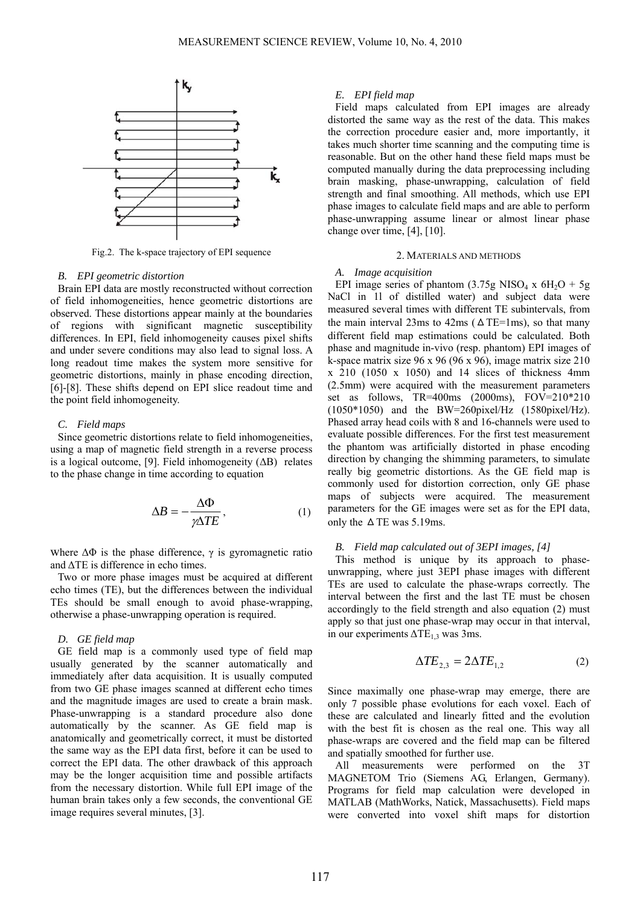

Fig.2. The k-space trajectory of EPI sequence

# *B. EPI geometric distortion*

Brain EPI data are mostly reconstructed without correction of field inhomogeneities, hence geometric distortions are observed. These distortions appear mainly at the boundaries of regions with significant magnetic susceptibility differences. In EPI, field inhomogeneity causes pixel shifts and under severe conditions may also lead to signal loss. A long readout time makes the system more sensitive for geometric distortions, mainly in phase encoding direction, [6]-[8]. These shifts depend on EPI slice readout time and the point field inhomogeneity.

### *C. Field maps*

Since geometric distortions relate to field inhomogeneities, using a map of magnetic field strength in a reverse process is a logical outcome, [9]. Field inhomogeneity  $( \Delta B )$  relates to the phase change in time according to equation

$$
\Delta B = -\frac{\Delta \Phi}{\gamma \Delta TE},\tag{1}
$$

where  $\Delta\Phi$  is the phase difference,  $\gamma$  is gyromagnetic ratio and ΔTE is difference in echo times.

Two or more phase images must be acquired at different echo times (TE), but the differences between the individual TEs should be small enough to avoid phase-wrapping, otherwise a phase-unwrapping operation is required.

# *D. GE field map*

GE field map is a commonly used type of field map usually generated by the scanner automatically and immediately after data acquisition. It is usually computed from two GE phase images scanned at different echo times and the magnitude images are used to create a brain mask. Phase-unwrapping is a standard procedure also done automatically by the scanner. As GE field map is anatomically and geometrically correct, it must be distorted the same way as the EPI data first, before it can be used to correct the EPI data. The other drawback of this approach may be the longer acquisition time and possible artifacts from the necessary distortion. While full EPI image of the human brain takes only a few seconds, the conventional GE image requires several minutes, [3].

# *E. EPI field map*

Field maps calculated from EPI images are already distorted the same way as the rest of the data. This makes the correction procedure easier and, more importantly, it takes much shorter time scanning and the computing time is reasonable. But on the other hand these field maps must be computed manually during the data preprocessing including brain masking, phase-unwrapping, calculation of field strength and final smoothing. All methods, which use EPI phase images to calculate field maps and are able to perform phase-unwrapping assume linear or almost linear phase change over time, [4], [10].

#### 2. MATERIALS AND METHODS

## *A. Image acquisition*

EPI image series of phantom (3.75g NISO<sub>4</sub> x  $6H_2O + 5g$ NaCl in 1l of distilled water) and subject data were measured several times with different TE subintervals, from the main interval 23ms to 42ms ( $\triangle$ TE=1ms), so that many different field map estimations could be calculated. Both phase and magnitude in-vivo (resp. phantom) EPI images of k-space matrix size 96 x 96 (96 x 96), image matrix size 210 x 210 (1050 x 1050) and 14 slices of thickness 4mm (2.5mm) were acquired with the measurement parameters set as follows, TR=400ms (2000ms), FOV=210\*210 (1050\*1050) and the BW=260pixel/Hz (1580pixel/Hz). Phased array head coils with 8 and 16-channels were used to evaluate possible differences. For the first test measurement the phantom was artificially distorted in phase encoding direction by changing the shimming parameters, to simulate really big geometric distortions. As the GE field map is commonly used for distortion correction, only GE phase maps of subjects were acquired. The measurement parameters for the GE images were set as for the EPI data, only the  $\triangle$  TE was 5.19ms.

# *B. Field map calculated out of 3EPI images, [4]*

This method is unique by its approach to phaseunwrapping, where just 3EPI phase images with different TEs are used to calculate the phase-wraps correctly. The interval between the first and the last TE must be chosen accordingly to the field strength and also equation (2) must apply so that just one phase-wrap may occur in that interval, in our experiments  $\Delta TE_{1.3}$  was 3ms.

$$
\Delta TE_{2,3} = 2\Delta TE_{1,2} \tag{2}
$$

Since maximally one phase-wrap may emerge, there are only 7 possible phase evolutions for each voxel. Each of these are calculated and linearly fitted and the evolution with the best fit is chosen as the real one. This way all phase-wraps are covered and the field map can be filtered and spatially smoothed for further use.

All measurements were performed on the 3T MAGNETOM Trio (Siemens AG, Erlangen, Germany). Programs for field map calculation were developed in MATLAB (MathWorks, Natick, Massachusetts). Field maps were converted into voxel shift maps for distortion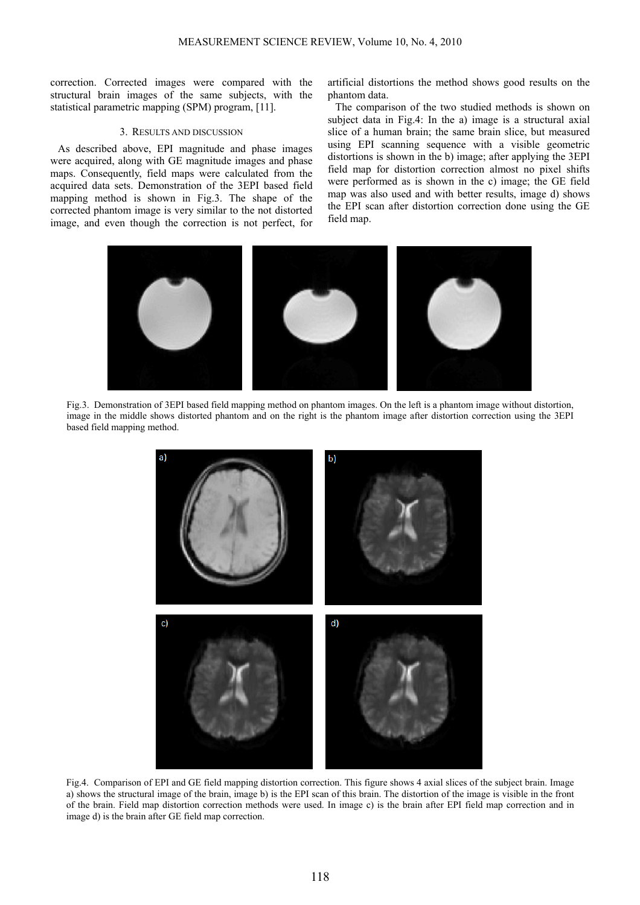correction. Corrected images were compared with the structural brain images of the same subjects, with the statistical parametric mapping (SPM) program, [11].

## 3. RESULTS AND DISCUSSION

As described above, EPI magnitude and phase images were acquired, along with GE magnitude images and phase maps. Consequently, field maps were calculated from the acquired data sets. Demonstration of the 3EPI based field mapping method is shown in Fig.3. The shape of the corrected phantom image is very similar to the not distorted image, and even though the correction is not perfect, for

artificial distortions the method shows good results on the phantom data.

The comparison of the two studied methods is shown on subject data in Fig.4: In the a) image is a structural axial slice of a human brain; the same brain slice, but measured using EPI scanning sequence with a visible geometric distortions is shown in the b) image; after applying the 3EPI field map for distortion correction almost no pixel shifts were performed as is shown in the c) image; the GE field map was also used and with better results, image d) shows the EPI scan after distortion correction done using the GE field map.



Fig.3. Demonstration of 3EPI based field mapping method on phantom images. On the left is a phantom image without distortion, image in the middle shows distorted phantom and on the right is the phantom image after distortion correction using the 3EPI based field mapping method.



Fig.4. Comparison of EPI and GE field mapping distortion correction. This figure shows 4 axial slices of the subject brain. Image a) shows the structural image of the brain, image b) is the EPI scan of this brain. The distortion of the image is visible in the front of the brain. Field map distortion correction methods were used. In image c) is the brain after EPI field map correction and in image d) is the brain after GE field map correction.